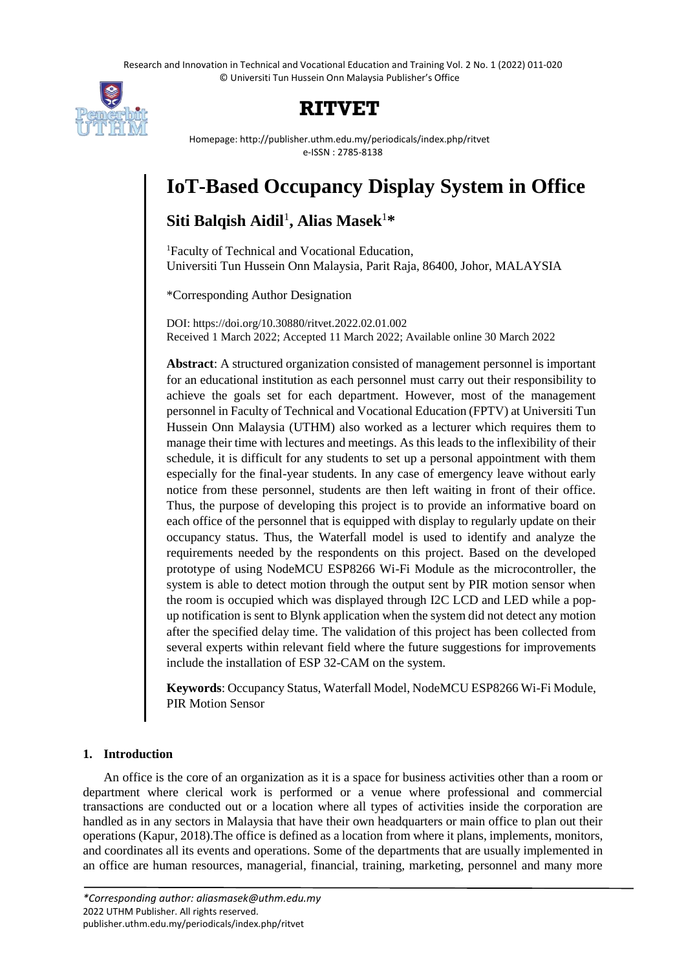Research and Innovation in Technical and Vocational Education and Training Vol. 2 No. 1 (2022) 011-020 © Universiti Tun Hussein Onn Malaysia Publisher's Office



## **RITVET**

Homepage: http://publisher.uthm.edu.my/periodicals/index.php/ritvet e-ISSN : 2785-8138

# **IoT-Based Occupancy Display System in Office**

### **Siti Balqish Aidil**<sup>1</sup> **, Alias Masek**<sup>1</sup>**\***

<sup>1</sup>Faculty of Technical and Vocational Education, Universiti Tun Hussein Onn Malaysia, Parit Raja, 86400, Johor, MALAYSIA

\*Corresponding Author Designation

DOI: https://doi.org/10.30880/ritvet.2022.02.01.002 Received 1 March 2022; Accepted 11 March 2022; Available online 30 March 2022

**Abstract**: A structured organization consisted of management personnel is important for an educational institution as each personnel must carry out their responsibility to achieve the goals set for each department. However, most of the management personnel in Faculty of Technical and Vocational Education (FPTV) at Universiti Tun Hussein Onn Malaysia (UTHM) also worked as a lecturer which requires them to manage their time with lectures and meetings. As this leads to the inflexibility of their schedule, it is difficult for any students to set up a personal appointment with them especially for the final-year students. In any case of emergency leave without early notice from these personnel, students are then left waiting in front of their office. Thus, the purpose of developing this project is to provide an informative board on each office of the personnel that is equipped with display to regularly update on their occupancy status. Thus, the Waterfall model is used to identify and analyze the requirements needed by the respondents on this project. Based on the developed prototype of using NodeMCU ESP8266 Wi-Fi Module as the microcontroller, the system is able to detect motion through the output sent by PIR motion sensor when the room is occupied which was displayed through I2C LCD and LED while a popup notification is sent to Blynk application when the system did not detect any motion after the specified delay time. The validation of this project has been collected from several experts within relevant field where the future suggestions for improvements include the installation of ESP 32-CAM on the system.

**Keywords**: Occupancy Status, Waterfall Model, NodeMCU ESP8266 Wi-Fi Module, PIR Motion Sensor

#### **1. Introduction**

An office is the core of an organization as it is a space for business activities other than a room or department where clerical work is performed or a venue where professional and commercial transactions are conducted out or a location where all types of activities inside the corporation are handled as in any sectors in Malaysia that have their own headquarters or main office to plan out their operations (Kapur, 2018).The office is defined as a location from where it plans, implements, monitors, and coordinates all its events and operations. Some of the departments that are usually implemented in an office are human resources, managerial, financial, training, marketing, personnel and many more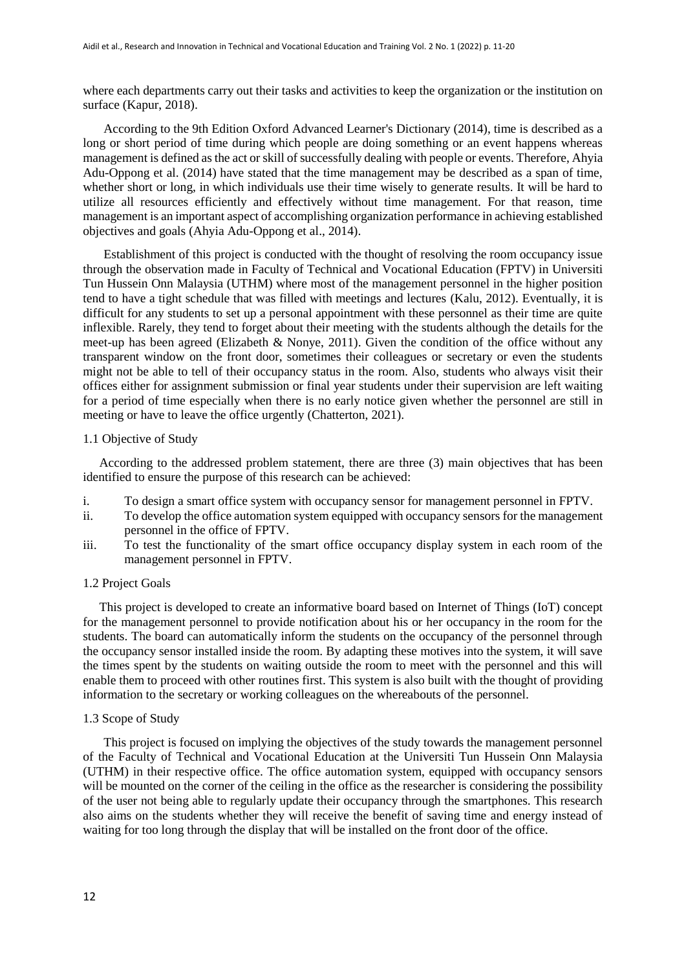where each departments carry out their tasks and activities to keep the organization or the institution on surface (Kapur, 2018).

According to the 9th Edition Oxford Advanced Learner's Dictionary (2014), time is described as a long or short period of time during which people are doing something or an event happens whereas management is defined as the act or skill of successfully dealing with people or events. Therefore, Ahyia Adu-Oppong et al. (2014) have stated that the time management may be described as a span of time, whether short or long, in which individuals use their time wisely to generate results. It will be hard to utilize all resources efficiently and effectively without time management. For that reason, time management is an important aspect of accomplishing organization performance in achieving established objectives and goals (Ahyia Adu-Oppong et al., 2014).

Establishment of this project is conducted with the thought of resolving the room occupancy issue through the observation made in Faculty of Technical and Vocational Education (FPTV) in Universiti Tun Hussein Onn Malaysia (UTHM) where most of the management personnel in the higher position tend to have a tight schedule that was filled with meetings and lectures (Kalu, 2012). Eventually, it is difficult for any students to set up a personal appointment with these personnel as their time are quite inflexible. Rarely, they tend to forget about their meeting with the students although the details for the meet-up has been agreed (Elizabeth & Nonye, 2011). Given the condition of the office without any transparent window on the front door, sometimes their colleagues or secretary or even the students might not be able to tell of their occupancy status in the room. Also, students who always visit their offices either for assignment submission or final year students under their supervision are left waiting for a period of time especially when there is no early notice given whether the personnel are still in meeting or have to leave the office urgently (Chatterton, 2021).

#### 1.1 Objective of Study

According to the addressed problem statement, there are three (3) main objectives that has been identified to ensure the purpose of this research can be achieved:

- i. To design a smart office system with occupancy sensor for management personnel in FPTV.
- ii. To develop the office automation system equipped with occupancy sensors for the management personnel in the office of FPTV.
- iii. To test the functionality of the smart office occupancy display system in each room of the management personnel in FPTV.

#### 1.2 Project Goals

This project is developed to create an informative board based on Internet of Things (IoT) concept for the management personnel to provide notification about his or her occupancy in the room for the students. The board can automatically inform the students on the occupancy of the personnel through the occupancy sensor installed inside the room. By adapting these motives into the system, it will save the times spent by the students on waiting outside the room to meet with the personnel and this will enable them to proceed with other routines first. This system is also built with the thought of providing information to the secretary or working colleagues on the whereabouts of the personnel.

#### 1.3 Scope of Study

This project is focused on implying the objectives of the study towards the management personnel of the Faculty of Technical and Vocational Education at the Universiti Tun Hussein Onn Malaysia (UTHM) in their respective office. The office automation system, equipped with occupancy sensors will be mounted on the corner of the ceiling in the office as the researcher is considering the possibility of the user not being able to regularly update their occupancy through the smartphones. This research also aims on the students whether they will receive the benefit of saving time and energy instead of waiting for too long through the display that will be installed on the front door of the office.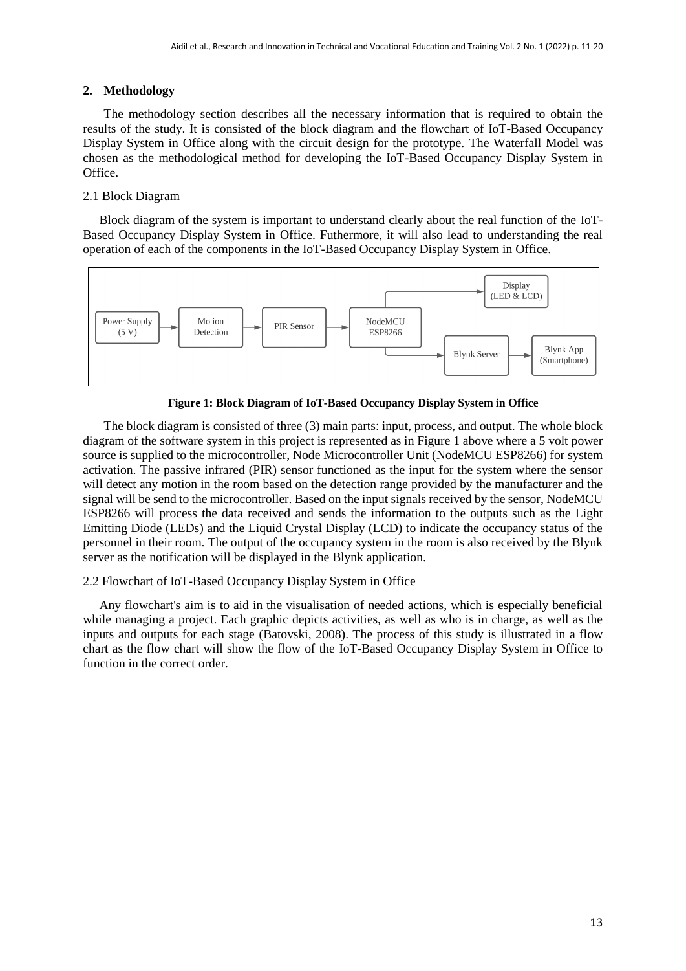#### **2. Methodology**

The methodology section describes all the necessary information that is required to obtain the results of the study. It is consisted of the block diagram and the flowchart of IoT-Based Occupancy Display System in Office along with the circuit design for the prototype. The Waterfall Model was chosen as the methodological method for developing the IoT-Based Occupancy Display System in Office.

#### 2.1 Block Diagram

Block diagram of the system is important to understand clearly about the real function of the IoT-Based Occupancy Display System in Office. Futhermore, it will also lead to understanding the real operation of each of the components in the IoT-Based Occupancy Display System in Office.



**Figure 1: Block Diagram of IoT-Based Occupancy Display System in Office**

The block diagram is consisted of three (3) main parts: input, process, and output. The whole block diagram of the software system in this project is represented as in Figure 1 above where a 5 volt power source is supplied to the microcontroller, Node Microcontroller Unit (NodeMCU ESP8266) for system activation. The passive infrared (PIR) sensor functioned as the input for the system where the sensor will detect any motion in the room based on the detection range provided by the manufacturer and the signal will be send to the microcontroller. Based on the input signals received by the sensor, NodeMCU ESP8266 will process the data received and sends the information to the outputs such as the Light Emitting Diode (LEDs) and the Liquid Crystal Display (LCD) to indicate the occupancy status of the personnel in their room. The output of the occupancy system in the room is also received by the Blynk server as the notification will be displayed in the Blynk application.

#### 2.2 Flowchart of IoT-Based Occupancy Display System in Office

Any flowchart's aim is to aid in the visualisation of needed actions, which is especially beneficial while managing a project. Each graphic depicts activities, as well as who is in charge, as well as the inputs and outputs for each stage (Batovski, 2008). The process of this study is illustrated in a flow chart as the flow chart will show the flow of the IoT-Based Occupancy Display System in Office to function in the correct order.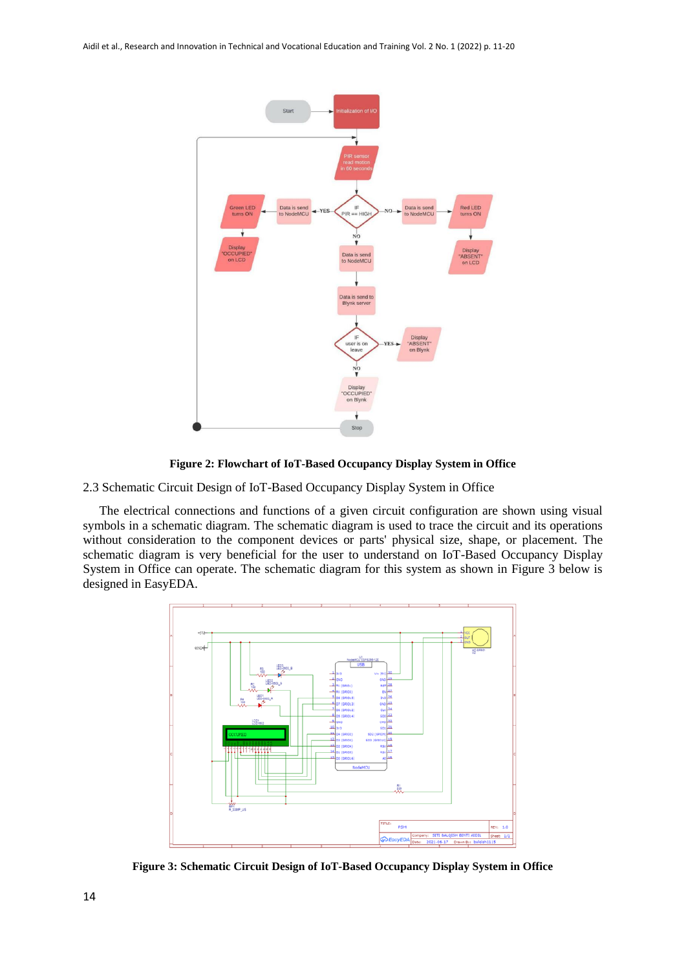

**Figure 2: Flowchart of IoT-Based Occupancy Display System in Office**

2.3 Schematic Circuit Design of IoT-Based Occupancy Display System in Office

The electrical connections and functions of a given circuit configuration are shown using visual symbols in a schematic diagram. The schematic diagram is used to trace the circuit and its operations without consideration to the component devices or parts' physical size, shape, or placement. The schematic diagram is very beneficial for the user to understand on IoT-Based Occupancy Display System in Office can operate. The schematic diagram for this system as shown in Figure 3 below is designed in EasyEDA.



**Figure 3: Schematic Circuit Design of IoT-Based Occupancy Display System in Office**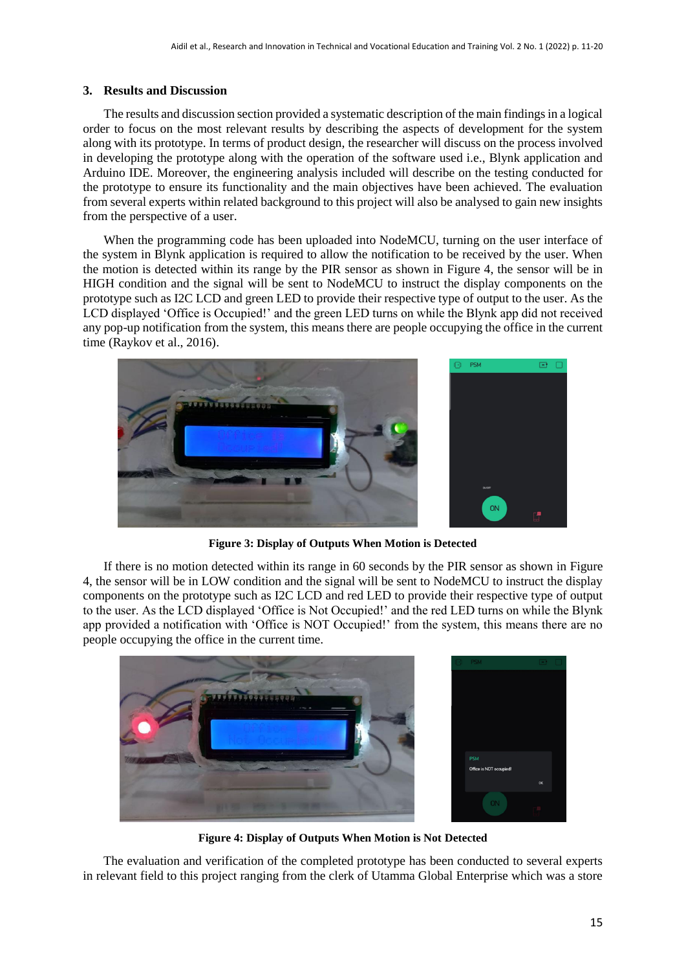#### **3. Results and Discussion**

The results and discussion section provided a systematic description of the main findings in a logical order to focus on the most relevant results by describing the aspects of development for the system along with its prototype. In terms of product design, the researcher will discuss on the process involved in developing the prototype along with the operation of the software used i.e., Blynk application and Arduino IDE. Moreover, the engineering analysis included will describe on the testing conducted for the prototype to ensure its functionality and the main objectives have been achieved. The evaluation from several experts within related background to this project will also be analysed to gain new insights from the perspective of a user.

When the programming code has been uploaded into NodeMCU, turning on the user interface of the system in Blynk application is required to allow the notification to be received by the user. When the motion is detected within its range by the PIR sensor as shown in Figure 4, the sensor will be in HIGH condition and the signal will be sent to NodeMCU to instruct the display components on the prototype such as I2C LCD and green LED to provide their respective type of output to the user. As the LCD displayed 'Office is Occupied!' and the green LED turns on while the Blynk app did not received any pop-up notification from the system, this means there are people occupying the office in the current time (Raykov et al., 2016).



**Figure 3: Display of Outputs When Motion is Detected**

If there is no motion detected within its range in 60 seconds by the PIR sensor as shown in Figure 4, the sensor will be in LOW condition and the signal will be sent to NodeMCU to instruct the display components on the prototype such as I2C LCD and red LED to provide their respective type of output to the user. As the LCD displayed 'Office is Not Occupied!' and the red LED turns on while the Blynk app provided a notification with 'Office is NOT Occupied!' from the system, this means there are no people occupying the office in the current time.



**Figure 4: Display of Outputs When Motion is Not Detected**

The evaluation and verification of the completed prototype has been conducted to several experts in relevant field to this project ranging from the clerk of Utamma Global Enterprise which was a store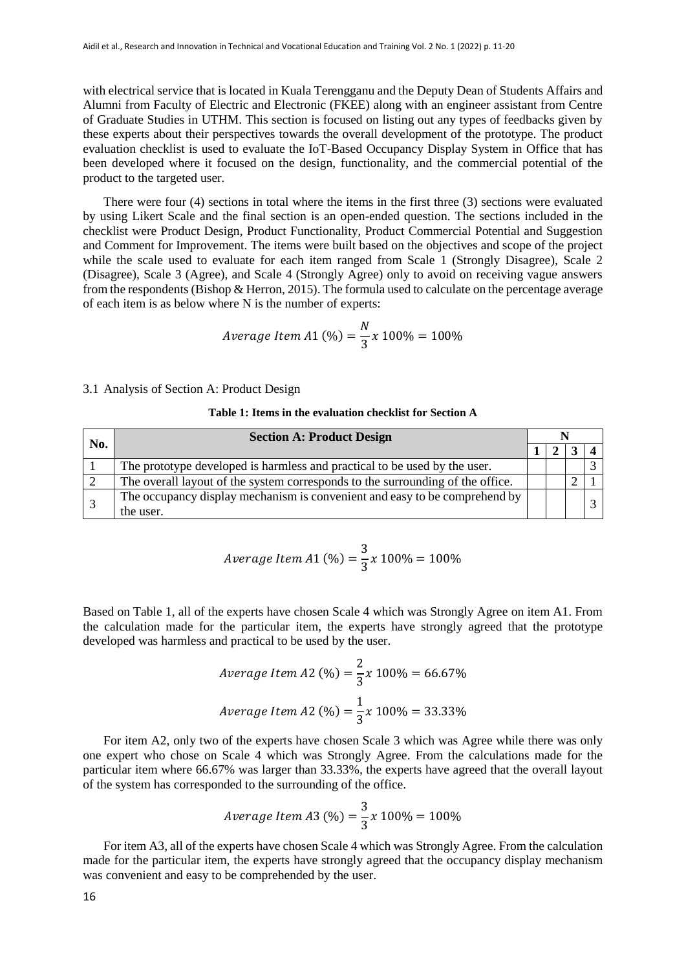with electrical service that is located in Kuala Terengganu and the Deputy Dean of Students Affairs and Alumni from Faculty of Electric and Electronic (FKEE) along with an engineer assistant from Centre of Graduate Studies in UTHM. This section is focused on listing out any types of feedbacks given by these experts about their perspectives towards the overall development of the prototype. The product evaluation checklist is used to evaluate the IoT-Based Occupancy Display System in Office that has been developed where it focused on the design, functionality, and the commercial potential of the product to the targeted user.

There were four (4) sections in total where the items in the first three (3) sections were evaluated by using Likert Scale and the final section is an open-ended question. The sections included in the checklist were Product Design, Product Functionality, Product Commercial Potential and Suggestion and Comment for Improvement. The items were built based on the objectives and scope of the project while the scale used to evaluate for each item ranged from Scale 1 (Strongly Disagree), Scale 2 (Disagree), Scale 3 (Agree), and Scale 4 (Strongly Agree) only to avoid on receiving vague answers from the respondents (Bishop & Herron, 2015). The formula used to calculate on the percentage average of each item is as below where N is the number of experts:

$$
Average \, Item \, A1 \, (\%) = \frac{N}{3} x \, 100\% = 100\%
$$

3.1 Analysis of Section A: Product Design

#### **Table 1: Items in the evaluation checklist for Section A**

| No. | <b>Section A: Product Design</b>                                                        |  |  |  |  |  |
|-----|-----------------------------------------------------------------------------------------|--|--|--|--|--|
|     |                                                                                         |  |  |  |  |  |
|     | The prototype developed is harmless and practical to be used by the user.               |  |  |  |  |  |
|     | The overall layout of the system corresponds to the surrounding of the office.          |  |  |  |  |  |
|     | The occupancy display mechanism is convenient and easy to be comprehend by<br>the user. |  |  |  |  |  |

$$
Average Item A1 (\%) = \frac{3}{3} x 100\% = 100\%
$$

Based on Table 1, all of the experts have chosen Scale 4 which was Strongly Agree on item A1. From the calculation made for the particular item, the experts have strongly agreed that the prototype developed was harmless and practical to be used by the user.

Average Item A2 (%) = 
$$
\frac{2}{3}x 100\% = 66.67\%
$$
  
Average Item A2 (%) =  $\frac{1}{3}x 100\% = 33.33\%$ 

For item A2, only two of the experts have chosen Scale 3 which was Agree while there was only one expert who chose on Scale 4 which was Strongly Agree. From the calculations made for the particular item where 66.67% was larger than 33.33%, the experts have agreed that the overall layout of the system has corresponded to the surrounding of the office.

$$
Average Item A3 (\%) = \frac{3}{3} x 100\% = 100\%
$$

For item A3, all of the experts have chosen Scale 4 which was Strongly Agree. From the calculation made for the particular item, the experts have strongly agreed that the occupancy display mechanism was convenient and easy to be comprehended by the user.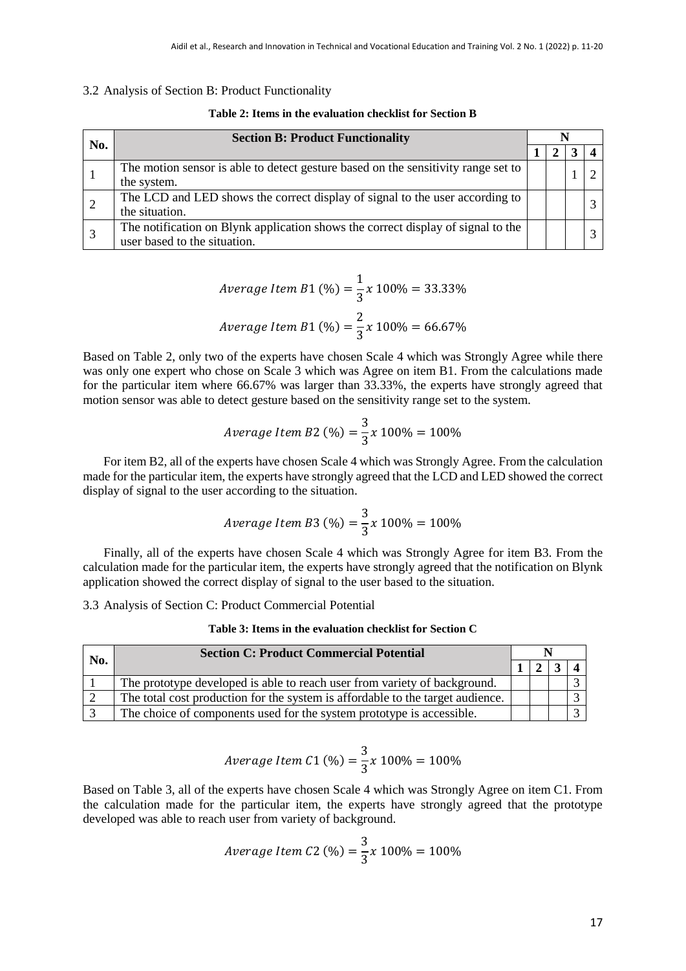#### 3.2 Analysis of Section B: Product Functionality

| No. | <b>Section B: Product Functionality</b>                                           |  |  |  |  |  |  |
|-----|-----------------------------------------------------------------------------------|--|--|--|--|--|--|
|     |                                                                                   |  |  |  |  |  |  |
|     | The motion sensor is able to detect gesture based on the sensitivity range set to |  |  |  |  |  |  |
|     | the system.                                                                       |  |  |  |  |  |  |
|     | The LCD and LED shows the correct display of signal to the user according to      |  |  |  |  |  |  |
|     | the situation.                                                                    |  |  |  |  |  |  |
|     | The notification on Blynk application shows the correct display of signal to the  |  |  |  |  |  |  |
|     | user based to the situation.                                                      |  |  |  |  |  |  |

Average Item B1 (%) = 
$$
\frac{1}{3}x 100\% = 33.33\%
$$
  
Average Item B1 (%) =  $\frac{2}{3}x 100\% = 66.67\%$ 

Based on Table 2, only two of the experts have chosen Scale 4 which was Strongly Agree while there was only one expert who chose on Scale 3 which was Agree on item B1. From the calculations made for the particular item where 66.67% was larger than 33.33%, the experts have strongly agreed that motion sensor was able to detect gesture based on the sensitivity range set to the system.

$$
Average \, Item \, B2 \, (\%) = \frac{3}{3} x \, 100\% = 100\%
$$

For item B2, all of the experts have chosen Scale 4 which was Strongly Agree. From the calculation made for the particular item, the experts have strongly agreed that the LCD and LED showed the correct display of signal to the user according to the situation.

$$
Average \, Item \, B3 \, (\%) = \frac{3}{3} x \, 100\% = 100\%
$$

Finally, all of the experts have chosen Scale 4 which was Strongly Agree for item B3. From the calculation made for the particular item, the experts have strongly agreed that the notification on Blynk application showed the correct display of signal to the user based to the situation.

3.3 Analysis of Section C: Product Commercial Potential

**Table 3: Items in the evaluation checklist for Section C**

|     | <b>Section C: Product Commercial Potential</b>                                 |  |  |  |  |  |
|-----|--------------------------------------------------------------------------------|--|--|--|--|--|
| No. |                                                                                |  |  |  |  |  |
|     | The prototype developed is able to reach user from variety of background.      |  |  |  |  |  |
|     | The total cost production for the system is affordable to the target audience. |  |  |  |  |  |
|     | The choice of components used for the system prototype is accessible.          |  |  |  |  |  |

$$
Average Item C1 (\%) = \frac{3}{3} x 100\% = 100\%
$$

Based on Table 3, all of the experts have chosen Scale 4 which was Strongly Agree on item C1. From the calculation made for the particular item, the experts have strongly agreed that the prototype developed was able to reach user from variety of background.

$$
Average Item C2 (\%) = \frac{3}{3} x 100\% = 100\%
$$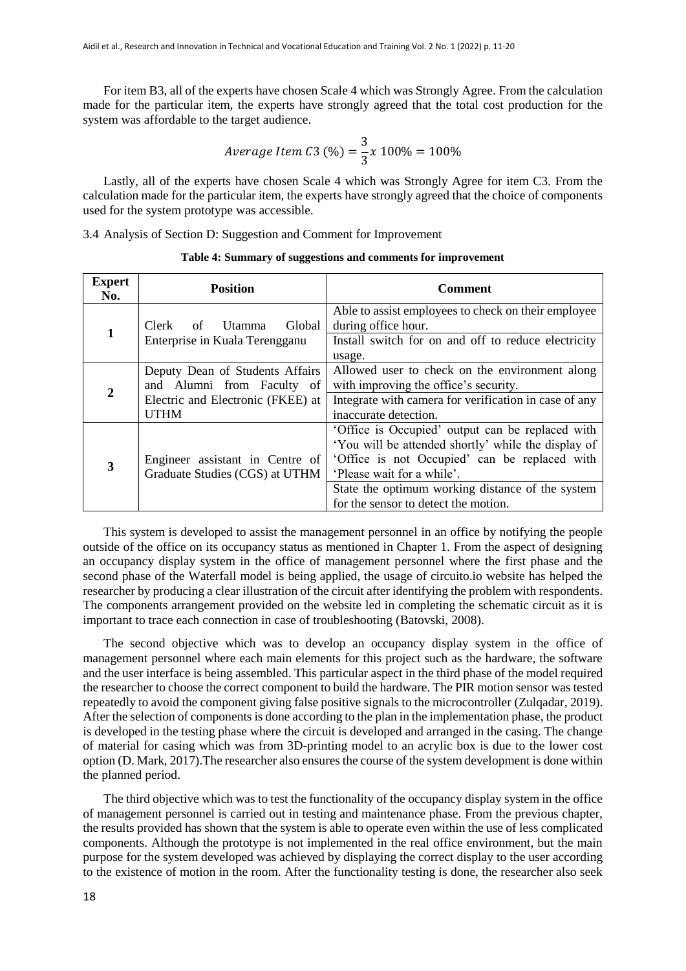For item B3, all of the experts have chosen Scale 4 which was Strongly Agree. From the calculation made for the particular item, the experts have strongly agreed that the total cost production for the system was affordable to the target audience.

$$
Average Item C3 (\%) = \frac{3}{3} x 100\% = 100\%
$$

Lastly, all of the experts have chosen Scale 4 which was Strongly Agree for item C3. From the calculation made for the particular item, the experts have strongly agreed that the choice of components used for the system prototype was accessible.

3.4 Analysis of Section D: Suggestion and Comment for Improvement

| <b>Expert</b><br>No. | <b>Position</b>                   | <b>Comment</b>                                        |
|----------------------|-----------------------------------|-------------------------------------------------------|
|                      |                                   | Able to assist employees to check on their employee   |
| 1                    | Global<br>Clerk<br>Utamma<br>of   | during office hour.                                   |
|                      | Enterprise in Kuala Terengganu    | Install switch for on and off to reduce electricity   |
|                      |                                   | usage.                                                |
|                      | Deputy Dean of Students Affairs   | Allowed user to check on the environment along        |
| 2                    | and Alumni from Faculty of        | with improving the office's security.                 |
|                      | Electric and Electronic (FKEE) at | Integrate with camera for verification in case of any |
|                      | <b>UTHM</b>                       | inaccurate detection.                                 |
|                      |                                   | 'Office is Occupied' output can be replaced with      |
|                      |                                   | 'You will be attended shortly' while the display of   |
|                      | Engineer assistant in Centre of   | 'Office is not Occupied' can be replaced with         |
| 3                    | Graduate Studies (CGS) at UTHM    | 'Please wait for a while'.                            |
|                      |                                   | State the optimum working distance of the system      |
|                      |                                   | for the sensor to detect the motion.                  |

#### **Table 4: Summary of suggestions and comments for improvement**

This system is developed to assist the management personnel in an office by notifying the people outside of the office on its occupancy status as mentioned in Chapter 1. From the aspect of designing an occupancy display system in the office of management personnel where the first phase and the second phase of the Waterfall model is being applied, the usage of circuito.io website has helped the researcher by producing a clear illustration of the circuit after identifying the problem with respondents. The components arrangement provided on the website led in completing the schematic circuit as it is important to trace each connection in case of troubleshooting (Batovski, 2008).

The second objective which was to develop an occupancy display system in the office of management personnel where each main elements for this project such as the hardware, the software and the user interface is being assembled. This particular aspect in the third phase of the model required the researcher to choose the correct component to build the hardware. The PIR motion sensor was tested repeatedly to avoid the component giving false positive signals to the microcontroller (Zulqadar, 2019). After the selection of components is done according to the plan in the implementation phase, the product is developed in the testing phase where the circuit is developed and arranged in the casing. The change of material for casing which was from 3D-printing model to an acrylic box is due to the lower cost option (D. Mark, 2017).The researcher also ensures the course of the system development is done within the planned period.

The third objective which was to test the functionality of the occupancy display system in the office of management personnel is carried out in testing and maintenance phase. From the previous chapter, the results provided has shown that the system is able to operate even within the use of less complicated components. Although the prototype is not implemented in the real office environment, but the main purpose for the system developed was achieved by displaying the correct display to the user according to the existence of motion in the room. After the functionality testing is done, the researcher also seek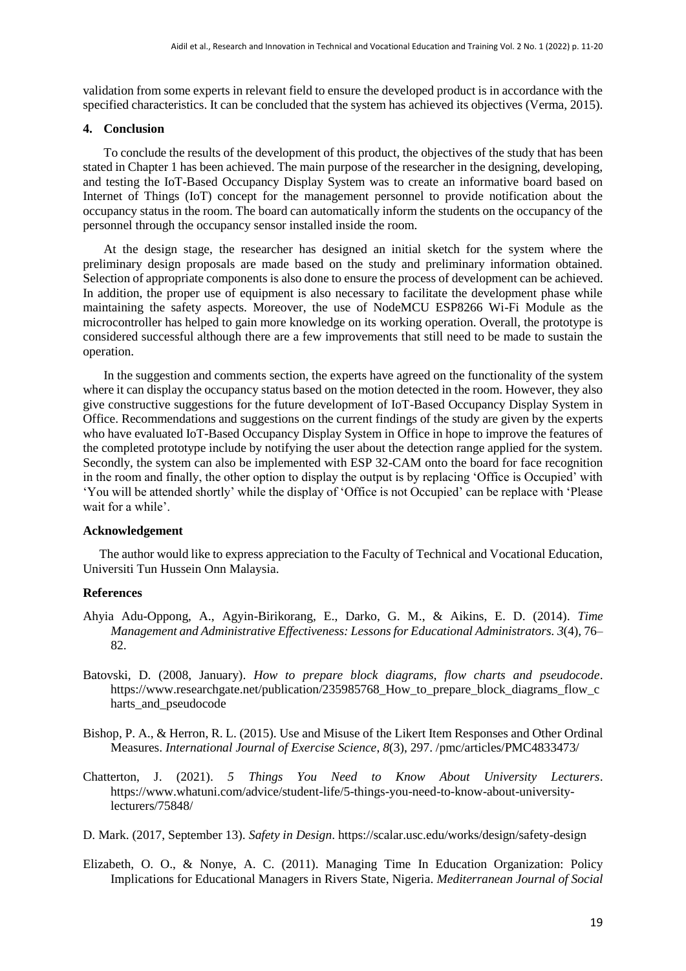validation from some experts in relevant field to ensure the developed product is in accordance with the specified characteristics. It can be concluded that the system has achieved its objectives (Verma, 2015).

#### **4. Conclusion**

To conclude the results of the development of this product, the objectives of the study that has been stated in Chapter 1 has been achieved. The main purpose of the researcher in the designing, developing, and testing the IoT-Based Occupancy Display System was to create an informative board based on Internet of Things (IoT) concept for the management personnel to provide notification about the occupancy status in the room. The board can automatically inform the students on the occupancy of the personnel through the occupancy sensor installed inside the room.

At the design stage, the researcher has designed an initial sketch for the system where the preliminary design proposals are made based on the study and preliminary information obtained. Selection of appropriate components is also done to ensure the process of development can be achieved. In addition, the proper use of equipment is also necessary to facilitate the development phase while maintaining the safety aspects. Moreover, the use of NodeMCU ESP8266 Wi-Fi Module as the microcontroller has helped to gain more knowledge on its working operation. Overall, the prototype is considered successful although there are a few improvements that still need to be made to sustain the operation.

In the suggestion and comments section, the experts have agreed on the functionality of the system where it can display the occupancy status based on the motion detected in the room. However, they also give constructive suggestions for the future development of IoT-Based Occupancy Display System in Office. Recommendations and suggestions on the current findings of the study are given by the experts who have evaluated IoT-Based Occupancy Display System in Office in hope to improve the features of the completed prototype include by notifying the user about the detection range applied for the system. Secondly, the system can also be implemented with ESP 32-CAM onto the board for face recognition in the room and finally, the other option to display the output is by replacing 'Office is Occupied' with 'You will be attended shortly' while the display of 'Office is not Occupied' can be replace with 'Please wait for a while'.

#### **Acknowledgement**

The author would like to express appreciation to the Faculty of Technical and Vocational Education, Universiti Tun Hussein Onn Malaysia.

#### **References**

- Ahyia Adu-Oppong, A., Agyin-Birikorang, E., Darko, G. M., & Aikins, E. D. (2014). *Time Management and Administrative Effectiveness: Lessons for Educational Administrators. 3*(4), 76– 82.
- Batovski, D. (2008, January). *How to prepare block diagrams, flow charts and pseudocode*. https://www.researchgate.net/publication/235985768 How to prepare block diagrams flow c harts\_and\_pseudocode
- Bishop, P. A., & Herron, R. L. (2015). Use and Misuse of the Likert Item Responses and Other Ordinal Measures. *International Journal of Exercise Science*, *8*(3), 297. /pmc/articles/PMC4833473/
- Chatterton, J. (2021). *5 Things You Need to Know About University Lecturers*. https://www.whatuni.com/advice/student-life/5-things-you-need-to-know-about-universitylecturers/75848/
- D. Mark. (2017, September 13). *Safety in Design*. https://scalar.usc.edu/works/design/safety-design
- Elizabeth, O. O., & Nonye, A. C. (2011). Managing Time In Education Organization: Policy Implications for Educational Managers in Rivers State, Nigeria. *Mediterranean Journal of Social*